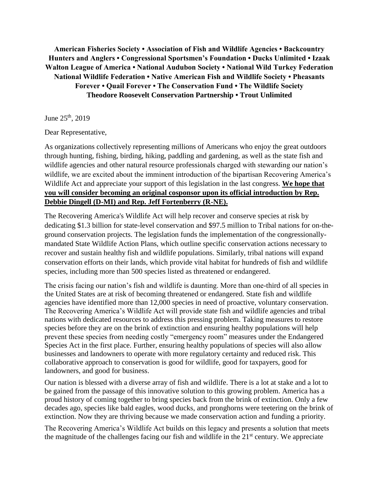**American Fisheries Society • Association of Fish and Wildlife Agencies • Backcountry Hunters and Anglers • Congressional Sportsmen's Foundation • Ducks Unlimited • Izaak Walton League of America • National Audubon Society • National Wild Turkey Federation National Wildlife Federation • Native American Fish and Wildlife Society • Pheasants Forever • Quail Forever • The Conservation Fund • The Wildlife Society Theodore Roosevelt Conservation Partnership • Trout Unlimited** 

June  $25^{th}$ , 2019

Dear Representative,

As organizations collectively representing millions of Americans who enjoy the great outdoors through hunting, fishing, birding, hiking, paddling and gardening, as well as the state fish and wildlife agencies and other natural resource professionals charged with stewarding our nation's wildlife, we are excited about the imminent introduction of the bipartisan Recovering America's Wildlife Act and appreciate your support of this legislation in the last congress. **We hope that you will consider becoming an original cosponsor upon its official introduction by Rep. Debbie Dingell (D-MI) and Rep. Jeff Fortenberry (R-NE).**

The Recovering America's Wildlife Act will help recover and conserve species at risk by dedicating \$1.3 billion for state-level conservation and \$97.5 million to Tribal nations for on-theground conservation projects. The legislation funds the implementation of the congressionallymandated State Wildlife Action Plans, which outline specific conservation actions necessary to recover and sustain healthy fish and wildlife populations. Similarly, tribal nations will expand conservation efforts on their lands, which provide vital habitat for hundreds of fish and wildlife species, including more than 500 species listed as threatened or endangered.

The crisis facing our nation's fish and wildlife is daunting. More than one-third of all species in the United States are at risk of becoming threatened or endangered. State fish and wildlife agencies have identified more than 12,000 species in need of proactive, voluntary conservation. The Recovering America's Wildlife Act will provide state fish and wildlife agencies and tribal nations with dedicated resources to address this pressing problem. Taking measures to restore species before they are on the brink of extinction and ensuring healthy populations will help prevent these species from needing costly "emergency room" measures under the Endangered Species Act in the first place. Further, ensuring healthy populations of species will also allow businesses and landowners to operate with more regulatory certainty and reduced risk. This collaborative approach to conservation is good for wildlife, good for taxpayers, good for landowners, and good for business.

Our nation is blessed with a diverse array of fish and wildlife. There is a lot at stake and a lot to be gained from the passage of this innovative solution to this growing problem. America has a proud history of coming together to bring species back from the brink of extinction. Only a few decades ago, species like bald eagles, wood ducks, and pronghorns were teetering on the brink of extinction. Now they are thriving because we made conservation action and funding a priority.

The Recovering America's Wildlife Act builds on this legacy and presents a solution that meets the magnitude of the challenges facing our fish and wildlife in the  $21<sup>st</sup>$  century. We appreciate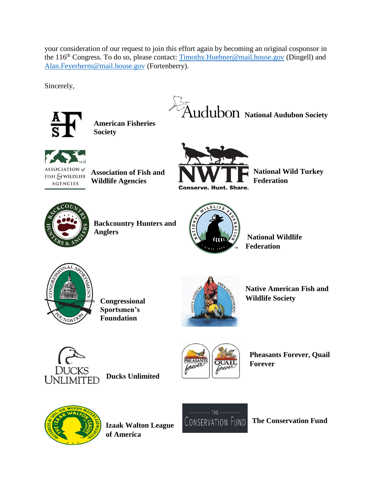your consideration of our request to join this effort again by becoming an original cosponsor in the 116<sup>th</sup> Congress. To do so, please contact: [Timothy.Huebner@mail.house.gov](mailto:Timothy.Huebner@mail.house.gov) (Dingell) and [Alan.Feyerherm@mail.house.gov](mailto:Alan.Feyerherm@mail.house.gov) (Fortenberry).

Sincerely,



**American Fisheries Society**





ASSOCIATION of  $FISH$   $\mathcal G$  wildlife **AGENCIES** 

**Association of Fish and Wildlife Agencies** 



**National Wild Turkey Federation** 



**Backcountry Hunters and Anglers** 



**National Wildlife Federation** 



**Congressional Sportsmen's Foundation** 



**Native American Fish and Wildlife Society** 



**Ducks Unlimited**



**Pheasants Forever, Quail Forever** 



**Izaak Walton League of America** 



**The Conservation Fund**